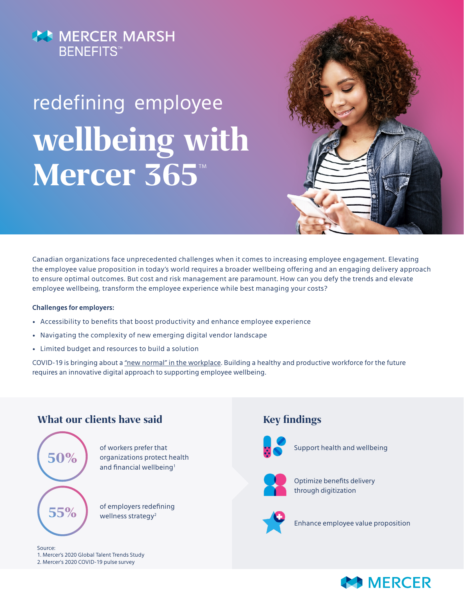## **AS MERCER MARSH BENEFITS<sup>™</sup>**

# redefining employee **wellbeing with**  Mercer 365TM



Canadian organizations face unprecedented challenges when it comes to increasing employee engagement. Elevating the employee value proposition in today's world requires a broader wellbeing offering and an engaging delivery approach to ensure optimal outcomes. But cost and risk management are paramount. How can you defy the trends and elevate employee wellbeing, transform the employee experience while best managing your costs?

#### **Challenges for employers:**

- Accessibility to benefits that boost productivity and enhance employee experience
- Navigating the complexity of new emerging digital vendor landscape
- Limited budget and resources to build a solution

COVID-19 is bringing about a "new normal" in the workplace. Building a healthy and productive workforce for the future requires an innovative digital approach to supporting employee wellbeing.

#### **What our clients have said Key findings**



of workers prefer that organizations protect health and financial wellbeing<sup>1</sup>

of employers redefining wellness strategy<sup>2</sup>

#### Source: 1. [Mercer's 2020 Global Talent Trends Study](https://www.mercer.ca/en/our-thinking/career/global-talent-hr-trends.html) 2. [Mercer's 2020 COVID-19 pulse survey](https://www.mercer.us/what-we-do/workforce-and-careers/talent-strategy/allegro-pulse-survey-platform.html)



Support health and wellbeing



Optimize benefits delivery through digitization



Enhance employee value proposition